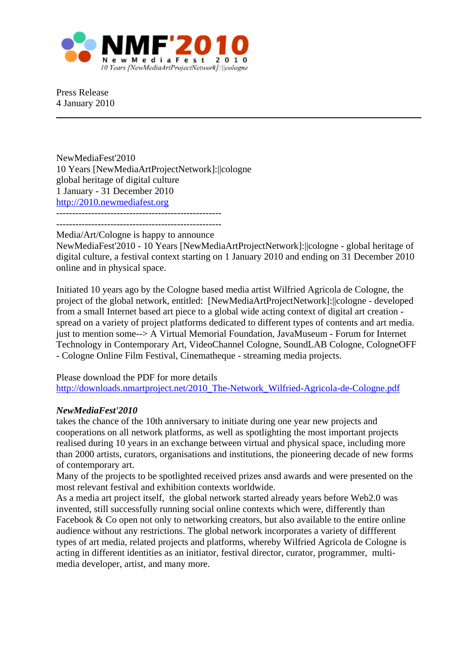

Press Release 4 January 2010

NewMediaFest'2010 10 Years [NewMediaArtProjectNetwork]:||cologne global heritage of digital culture 1 January - 31 December 2010 [http://2010.newmediafest.org](http://2010.newmediafest.org/) ----------------------------------------------------

----------------------------------------------------

Media/Art/Cologne is happy to announce

NewMediaFest'2010 - 10 Years [NewMediaArtProjectNetwork]:||cologne - global heritage of digital culture, a festival context starting on 1 January 2010 and ending on 31 December 2010 online and in physical space.

Initiated 10 years ago by the Cologne based media artist Wilfried Agricola de Cologne, the project of the global network, entitled: [NewMediaArtProjectNetwork]:||cologne - developed from a small Internet based art piece to a global wide acting context of digital art creation spread on a variety of project platforms dedicated to different types of contents and art media. just to mention some--> A Virtual Memorial Foundation, JavaMuseum - Forum for Internet Technology in Contemporary Art, VideoChannel Cologne, SoundLAB Cologne, CologneOFF - Cologne Online Film Festival, Cinematheque - streaming media projects.

## Please download the PDF for more details [http://downloads.nmartproject.net/2010\\_The-Network\\_Wilfried-Agricola-de-Cologne.pdf](http://downloads.nmartproject.net/2010_The-Network_Wilfried-Agricola-de-Cologne.pdf)

## *NewMediaFest'2010*

takes the chance of the 10th anniversary to initiate during one year new projects and cooperations on all network platforms, as well as spotlighting the most important projects realised during 10 years in an exchange between virtual and physical space, including more than 2000 artists, curators, organisations and institutions, the pioneering decade of new forms of contemporary art.

Many of the projects to be spotlighted received prizes ansd awards and were presented on the most relevant festival and exhibition contexts worldwide.

As a media art project itself, the global network started already years before Web2.0 was invented, still successfully running social online contexts which were, differently than Facebook & Co open not only to networking creators, but also available to the entire online audience without any restrictions. The global network incorporates a variety of diffferent types of art media, related projects and platforms, whereby Wilfried Agricola de Cologne is acting in different identities as an initiator, festival director, curator, programmer, multimedia developer, artist, and many more.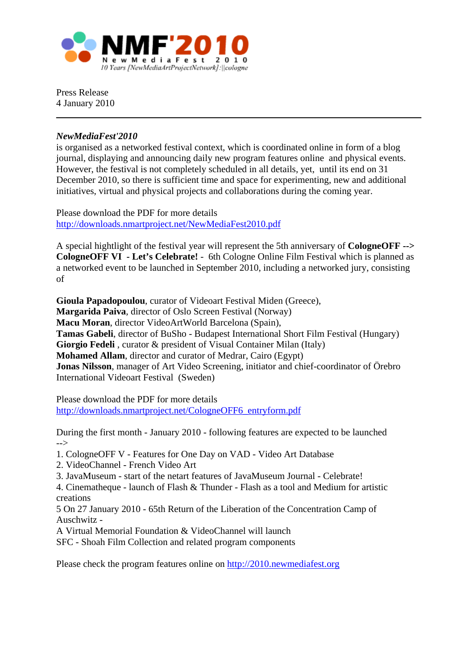

Press Release 4 January 2010

## *NewMediaFest'2010*

is organised as a networked festival context, which is coordinated online in form of a blog journal, displaying and announcing daily new program features online and physical events. However, the festival is not completely scheduled in all details, yet, until its end on 31 December 2010, so there is sufficient time and space for experimenting, new and additional initiatives, virtual and physical projects and collaborations during the coming year.

Please download the PDF for more details <http://downloads.nmartproject.net/NewMediaFest2010.pdf>

A special hightlight of the festival year will represent the 5th anniversary of **CologneOFF --> CologneOFF VI - Let's Celebrate!** - 6th Cologne Online Film Festival which is planned as a networked event to be launched in September 2010, including a networked jury, consisting of

**Gioula Papadopoulou**, curator of Videoart Festival Miden (Greece), **Margarida Paiva**, director of Oslo Screen Festival (Norway) **Macu Moran**, director VideoArtWorld Barcelona (Spain), **Tamas Gabeli**, director of BuSho - Budapest International Short Film Festival (Hungary) **Giorgio Fedeli** , curator & president of Visual Container Milan (Italy) **Mohamed Allam**, director and curator of Medrar, Cairo (Egypt) **Jonas Nilsson**, manager of Art Video Screening, initiator and chief-coordinator of Örebro International Videoart Festival (Sweden)

Please download the PDF for more details [http://downloads.nmartproject.net/CologneOFF6\\_entryform.pdf](http://downloads.nmartproject.net/CologneOFF6_entryform.pdf)

During the first month - January 2010 - following features are expected to be launched -->

1. CologneOFF V - Features for One Day on VAD - Video Art Database

2. VideoChannel - French Video Art

3. JavaMuseum - start of the netart features of JavaMuseum Journal - Celebrate!

4. Cinematheque - launch of Flash & Thunder - Flash as a tool and Medium for artistic creations

5 On 27 January 2010 - 65th Return of the Liberation of the Concentration Camp of Auschwitz -

A Virtual Memorial Foundation & VideoChannel will launch

SFC - Shoah Film Collection and related program components

Please check the program features online on [http://2010.newmediafest.org](http://2010.newmediafest.org/)